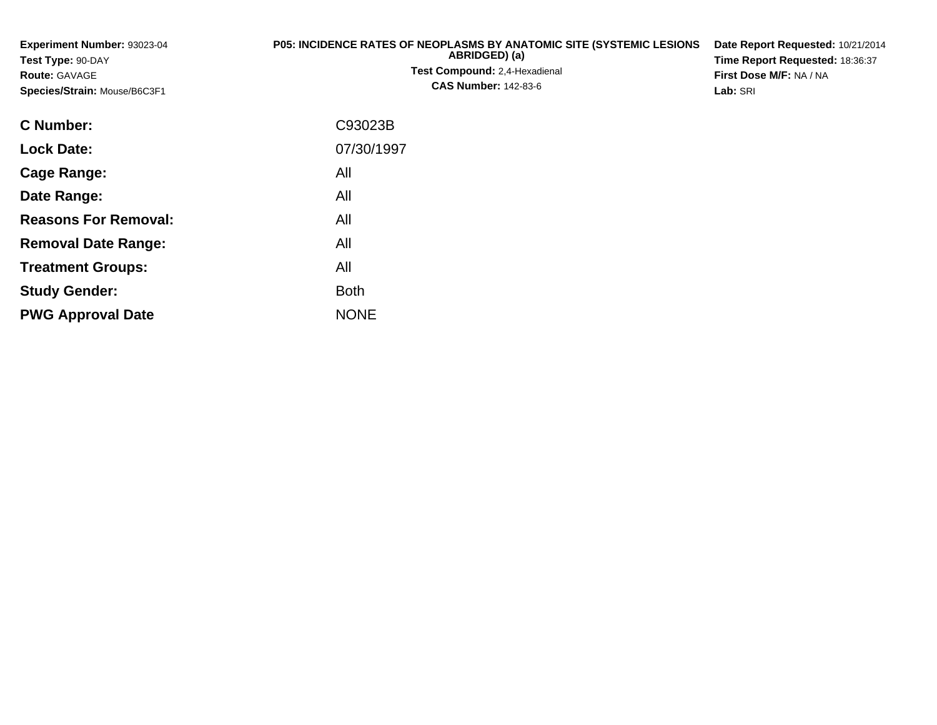| <b>Experiment Number: 93023-04</b><br>Test Type: 90-DAY<br><b>Route: GAVAGE</b><br>Species/Strain: Mouse/B6C3F1 | <b>P05: INCIDENCE RATES OF NEOPLASMS BY ANATOMIC SITE (SYSTEMIC LESIONS)</b><br>ABRIDGED) (a)<br><b>Test Compound: 2.4-Hexadienal</b><br><b>CAS Number: 142-83-6</b> | Date Report Requested: 10/21/2014<br>Time Report Requested: 18:36:37<br>First Dose M/F: NA / NA<br>Lab: SRI |
|-----------------------------------------------------------------------------------------------------------------|----------------------------------------------------------------------------------------------------------------------------------------------------------------------|-------------------------------------------------------------------------------------------------------------|
| <b>C</b> Number:                                                                                                | C93023B                                                                                                                                                              |                                                                                                             |
| <b>Lock Date:</b>                                                                                               | 07/30/1997                                                                                                                                                           |                                                                                                             |

**Cage Range:**

**Date Range:**

**Reasons For Removal:**

**Removal Date Range:**

**Treatment Groups:**

**PWG Approval Date**

**Study Gender:**

All

All

All

: All

NONE

All

**Example 1** South 2 and 2 and 2 and 2 and 2 and 2 and 2 and 2 and 2 and 2 and 2 and 2 and 2 and 2 and 2 and 2 an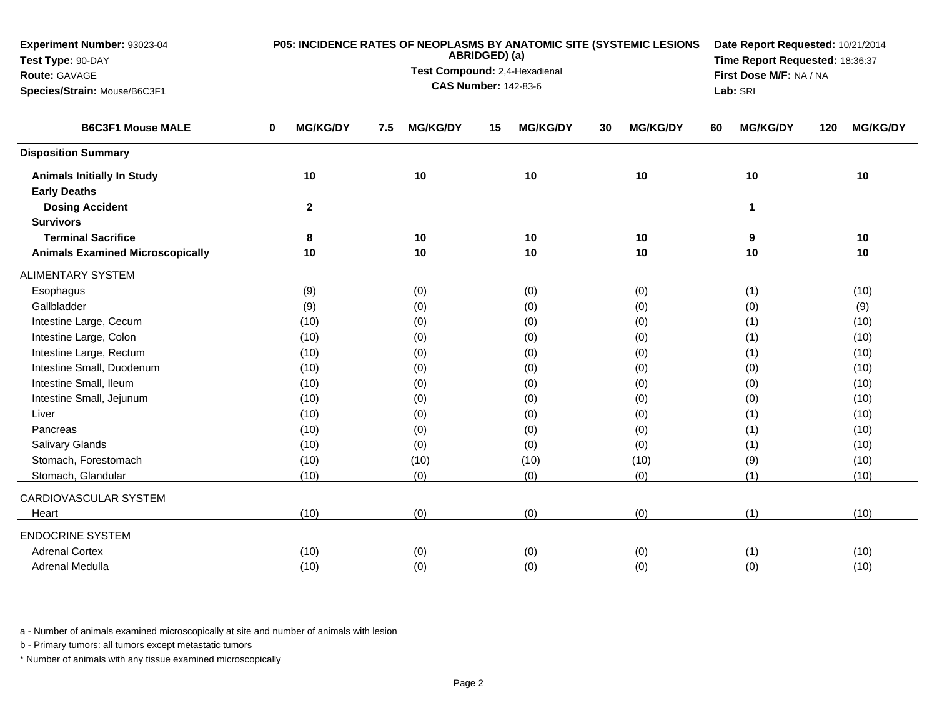| Experiment Number: 93023-04             |                      |                        |                               | P05: INCIDENCE RATES OF NEOPLASMS BY ANATOMIC SITE (SYSTEMIC LESIONS | Date Report Requested: 10/21/2014   |                        |  |  |  |  |  |  |
|-----------------------------------------|----------------------|------------------------|-------------------------------|----------------------------------------------------------------------|-------------------------------------|------------------------|--|--|--|--|--|--|
| Test Type: 90-DAY                       |                      |                        | ABRIDGED) (a)                 |                                                                      | Time Report Requested: 18:36:37     |                        |  |  |  |  |  |  |
| Route: GAVAGE                           |                      |                        | Test Compound: 2,4-Hexadienal |                                                                      | First Dose M/F: NA / NA<br>Lab: SRI |                        |  |  |  |  |  |  |
| Species/Strain: Mouse/B6C3F1            |                      |                        | <b>CAS Number: 142-83-6</b>   |                                                                      |                                     |                        |  |  |  |  |  |  |
| <b>B6C3F1 Mouse MALE</b>                | <b>MG/KG/DY</b><br>0 | 7.5<br><b>MG/KG/DY</b> | <b>MG/KG/DY</b><br>15         | <b>MG/KG/DY</b><br>30                                                | <b>MG/KG/DY</b><br>60               | <b>MG/KG/DY</b><br>120 |  |  |  |  |  |  |
| <b>Disposition Summary</b>              |                      |                        |                               |                                                                      |                                     |                        |  |  |  |  |  |  |
| <b>Animals Initially In Study</b>       | 10                   | 10                     | $10$                          | 10                                                                   | 10                                  | $10$                   |  |  |  |  |  |  |
| <b>Early Deaths</b>                     |                      |                        |                               |                                                                      |                                     |                        |  |  |  |  |  |  |
| <b>Dosing Accident</b>                  | $\mathbf{2}$         |                        |                               |                                                                      | 1                                   |                        |  |  |  |  |  |  |
| <b>Survivors</b>                        |                      |                        |                               |                                                                      |                                     |                        |  |  |  |  |  |  |
| <b>Terminal Sacrifice</b>               | 8                    | 10                     | 10                            | 10                                                                   | 9                                   | 10                     |  |  |  |  |  |  |
| <b>Animals Examined Microscopically</b> | 10                   | 10                     | 10                            | 10                                                                   | 10                                  | 10                     |  |  |  |  |  |  |
| <b>ALIMENTARY SYSTEM</b>                |                      |                        |                               |                                                                      |                                     |                        |  |  |  |  |  |  |
| Esophagus                               | (9)                  | (0)                    | (0)                           | (0)                                                                  | (1)                                 | (10)                   |  |  |  |  |  |  |
| Gallbladder                             | (9)                  | (0)                    | (0)                           | (0)                                                                  | (0)                                 | (9)                    |  |  |  |  |  |  |
| Intestine Large, Cecum                  | (10)                 | (0)                    | (0)                           | (0)                                                                  | (1)                                 | (10)                   |  |  |  |  |  |  |
| Intestine Large, Colon                  | (10)                 | (0)                    | (0)                           | (0)                                                                  | (1)                                 | (10)                   |  |  |  |  |  |  |
| Intestine Large, Rectum                 | (10)                 | (0)                    | (0)                           | (0)                                                                  | (1)                                 | (10)                   |  |  |  |  |  |  |
| Intestine Small, Duodenum               | (10)                 | (0)                    | (0)                           | (0)                                                                  | (0)                                 | (10)                   |  |  |  |  |  |  |
| Intestine Small, Ileum                  | (10)                 | (0)                    | (0)                           | (0)                                                                  | (0)                                 | (10)                   |  |  |  |  |  |  |
| Intestine Small, Jejunum                | (10)                 | (0)                    | (0)                           | (0)                                                                  | (0)                                 | (10)                   |  |  |  |  |  |  |
| Liver                                   | (10)                 | (0)                    | (0)                           | (0)                                                                  | (1)                                 | (10)                   |  |  |  |  |  |  |
| Pancreas                                | (10)                 | (0)                    | (0)                           | (0)                                                                  | (1)                                 | (10)                   |  |  |  |  |  |  |
| Salivary Glands                         | (10)                 | (0)                    | (0)                           | (0)                                                                  | (1)                                 | (10)                   |  |  |  |  |  |  |
| Stomach, Forestomach                    | (10)                 | (10)                   | (10)                          | (10)                                                                 | (9)                                 | (10)                   |  |  |  |  |  |  |
| Stomach, Glandular                      | (10)                 | (0)                    | (0)                           | (0)                                                                  | (1)                                 | (10)                   |  |  |  |  |  |  |
| CARDIOVASCULAR SYSTEM                   |                      |                        |                               |                                                                      |                                     |                        |  |  |  |  |  |  |
| Heart                                   | (10)                 | (0)                    | (0)                           | (0)                                                                  | (1)                                 | (10)                   |  |  |  |  |  |  |
| <b>ENDOCRINE SYSTEM</b>                 |                      |                        |                               |                                                                      |                                     |                        |  |  |  |  |  |  |
| <b>Adrenal Cortex</b>                   | (10)                 | (0)                    | (0)                           | (0)                                                                  | (1)                                 | (10)                   |  |  |  |  |  |  |
| Adrenal Medulla                         | (10)                 | (0)                    | (0)                           | (0)                                                                  | (0)                                 | (10)                   |  |  |  |  |  |  |

b - Primary tumors: all tumors except metastatic tumors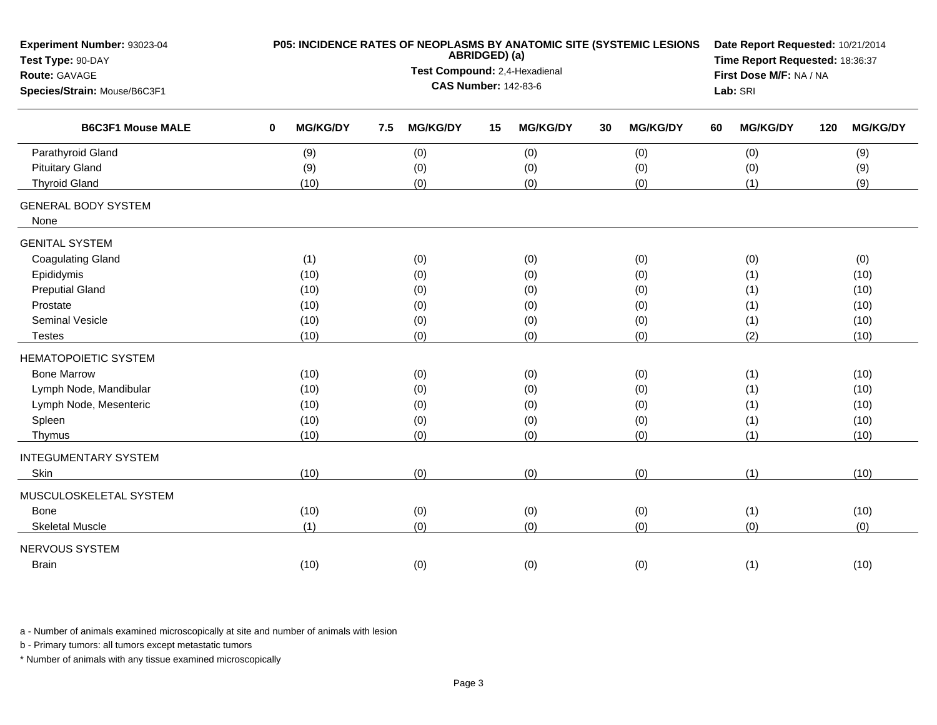| Experiment Number: 93023-04<br>Test Type: 90-DAY |             |                 |     |                               | ABRIDGED) (a) |                 |    | P05: INCIDENCE RATES OF NEOPLASMS BY ANATOMIC SITE (SYSTEMIC LESIONS | Date Report Requested: 10/21/2014<br>Time Report Requested: 18:36:37 |                         |     |                 |  |  |  |
|--------------------------------------------------|-------------|-----------------|-----|-------------------------------|---------------|-----------------|----|----------------------------------------------------------------------|----------------------------------------------------------------------|-------------------------|-----|-----------------|--|--|--|
| Route: GAVAGE                                    |             |                 |     | Test Compound: 2,4-Hexadienal |               |                 |    |                                                                      |                                                                      | First Dose M/F: NA / NA |     |                 |  |  |  |
| Species/Strain: Mouse/B6C3F1                     |             |                 |     | <b>CAS Number: 142-83-6</b>   |               |                 |    |                                                                      |                                                                      | Lab: SRI                |     |                 |  |  |  |
| <b>B6C3F1 Mouse MALE</b>                         | $\mathbf 0$ | <b>MG/KG/DY</b> | 7.5 | <b>MG/KG/DY</b>               | 15            | <b>MG/KG/DY</b> | 30 | <b>MG/KG/DY</b>                                                      | 60                                                                   | <b>MG/KG/DY</b>         | 120 | <b>MG/KG/DY</b> |  |  |  |
| Parathyroid Gland                                |             | (9)             |     | (0)                           |               | (0)             |    | (0)                                                                  |                                                                      | (0)                     |     | (9)             |  |  |  |
| <b>Pituitary Gland</b>                           |             | (9)             |     | (0)                           |               | (0)             |    | (0)                                                                  |                                                                      | (0)                     |     | (9)             |  |  |  |
| <b>Thyroid Gland</b>                             |             | (10)            |     | (0)                           |               | (0)             |    | (0)                                                                  |                                                                      | (1)                     |     | (9)             |  |  |  |
| <b>GENERAL BODY SYSTEM</b><br>None               |             |                 |     |                               |               |                 |    |                                                                      |                                                                      |                         |     |                 |  |  |  |
| <b>GENITAL SYSTEM</b>                            |             |                 |     |                               |               |                 |    |                                                                      |                                                                      |                         |     |                 |  |  |  |
| <b>Coagulating Gland</b>                         |             | (1)             |     | (0)                           |               | (0)             |    | (0)                                                                  |                                                                      | (0)                     |     | (0)             |  |  |  |
| Epididymis                                       |             | (10)            |     | (0)                           |               | (0)             |    | (0)                                                                  |                                                                      | (1)                     |     | (10)            |  |  |  |
| <b>Preputial Gland</b>                           |             | (10)            |     | (0)                           |               | (0)             |    | (0)                                                                  |                                                                      | (1)                     |     | (10)            |  |  |  |
| Prostate                                         |             | (10)            |     | (0)                           |               | (0)             |    | (0)                                                                  |                                                                      | (1)                     |     | (10)            |  |  |  |
| <b>Seminal Vesicle</b>                           |             | (10)            |     | (0)                           |               | (0)             |    | (0)                                                                  |                                                                      | (1)                     |     | (10)            |  |  |  |
| <b>Testes</b>                                    |             | (10)            |     | (0)                           |               | (0)             |    | (0)                                                                  |                                                                      | (2)                     |     | (10)            |  |  |  |
| <b>HEMATOPOIETIC SYSTEM</b>                      |             |                 |     |                               |               |                 |    |                                                                      |                                                                      |                         |     |                 |  |  |  |
| <b>Bone Marrow</b>                               |             | (10)            |     | (0)                           |               | (0)             |    | (0)                                                                  |                                                                      | (1)                     |     | (10)            |  |  |  |
| Lymph Node, Mandibular                           |             | (10)            |     | (0)                           |               | (0)             |    | (0)                                                                  |                                                                      | (1)                     |     | (10)            |  |  |  |
| Lymph Node, Mesenteric                           |             | (10)            |     | (0)                           |               | (0)             |    | (0)                                                                  |                                                                      | (1)                     |     | (10)            |  |  |  |
| Spleen                                           |             | (10)            |     | (0)                           |               | (0)             |    | (0)                                                                  |                                                                      | (1)                     |     | (10)            |  |  |  |
| Thymus                                           |             | (10)            |     | (0)                           |               | (0)             |    | (0)                                                                  |                                                                      | (1)                     |     | (10)            |  |  |  |
| <b>INTEGUMENTARY SYSTEM</b>                      |             |                 |     |                               |               |                 |    |                                                                      |                                                                      |                         |     |                 |  |  |  |
| Skin                                             |             | (10)            |     | (0)                           |               | (0)             |    | (0)                                                                  |                                                                      | (1)                     |     | (10)            |  |  |  |
| MUSCULOSKELETAL SYSTEM                           |             |                 |     |                               |               |                 |    |                                                                      |                                                                      |                         |     |                 |  |  |  |
| Bone                                             |             | (10)            |     | (0)                           |               | (0)             |    | (0)                                                                  |                                                                      | (1)                     |     | (10)            |  |  |  |
| <b>Skeletal Muscle</b>                           |             | (1)             |     | (0)                           |               | (0)             |    | (0)                                                                  |                                                                      | (0)                     |     | (0)             |  |  |  |
| NERVOUS SYSTEM                                   |             |                 |     |                               |               |                 |    |                                                                      |                                                                      |                         |     |                 |  |  |  |
| <b>Brain</b>                                     |             | (10)            |     | (0)                           |               | (0)             |    | (0)                                                                  |                                                                      | (1)                     |     | (10)            |  |  |  |

b - Primary tumors: all tumors except metastatic tumors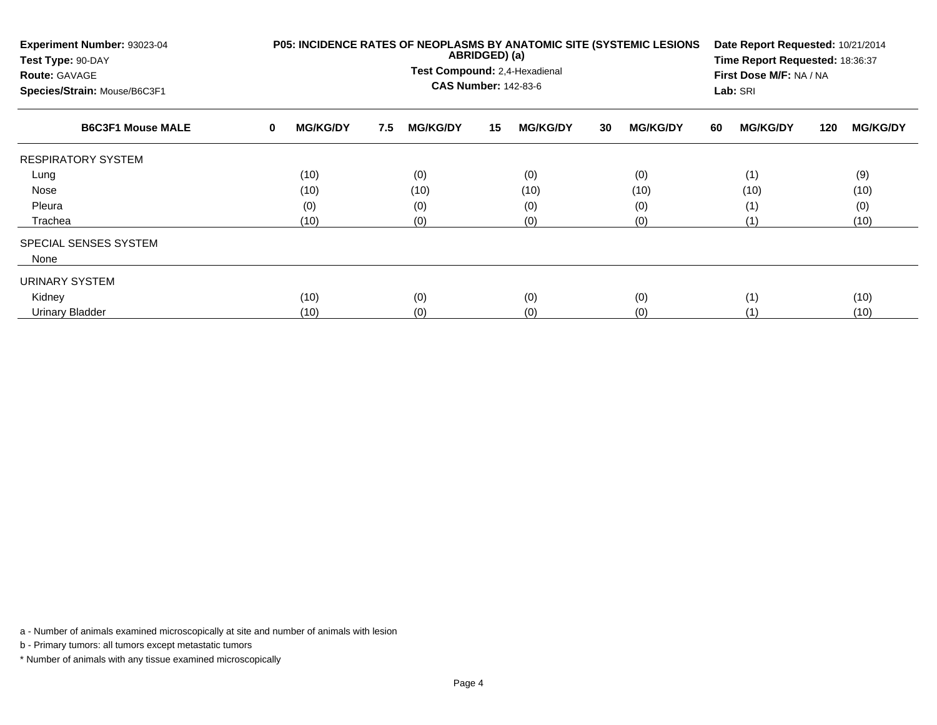| Experiment Number: 93023-04<br>Test Type: 90-DAY<br><b>Route: GAVAGE</b><br>Species/Strain: Mouse/B6C3F1 |             |                 |     | Test Compound: 2,4-Hexadienal<br><b>CAS Number: 142-83-6</b> | ABRIDGED) (a) |                 |    | P05: INCIDENCE RATES OF NEOPLASMS BY ANATOMIC SITE (SYSTEMIC LESIONS |    | Date Report Requested: 10/21/2014<br>Time Report Requested: 18:36:37<br>First Dose M/F: NA / NA<br>Lab: SRI |     |                 |
|----------------------------------------------------------------------------------------------------------|-------------|-----------------|-----|--------------------------------------------------------------|---------------|-----------------|----|----------------------------------------------------------------------|----|-------------------------------------------------------------------------------------------------------------|-----|-----------------|
| <b>B6C3F1 Mouse MALE</b>                                                                                 | $\mathbf 0$ | <b>MG/KG/DY</b> | 7.5 | <b>MG/KG/DY</b>                                              | 15            | <b>MG/KG/DY</b> | 30 | <b>MG/KG/DY</b>                                                      | 60 | <b>MG/KG/DY</b>                                                                                             | 120 | <b>MG/KG/DY</b> |
| <b>RESPIRATORY SYSTEM</b>                                                                                |             |                 |     |                                                              |               |                 |    |                                                                      |    |                                                                                                             |     |                 |
| Lung                                                                                                     |             | (10)            |     | (0)                                                          |               | (0)             |    | (0)                                                                  |    | (1)                                                                                                         |     | (9)             |
| Nose                                                                                                     |             | (10)            |     | (10)                                                         |               | (10)            |    | (10)                                                                 |    | (10)                                                                                                        |     | (10)            |
| Pleura                                                                                                   |             | (0)             |     | (0)                                                          |               | (0)             |    | (0)                                                                  |    | (1)                                                                                                         |     | (0)             |
| Trachea                                                                                                  |             | (10)            |     | (0)                                                          |               | (0)             |    | (0)                                                                  |    | (1)                                                                                                         |     | (10)            |
| SPECIAL SENSES SYSTEM                                                                                    |             |                 |     |                                                              |               |                 |    |                                                                      |    |                                                                                                             |     |                 |
| None                                                                                                     |             |                 |     |                                                              |               |                 |    |                                                                      |    |                                                                                                             |     |                 |
| URINARY SYSTEM                                                                                           |             |                 |     |                                                              |               |                 |    |                                                                      |    |                                                                                                             |     |                 |
| Kidney                                                                                                   |             | (10)            |     | (0)                                                          |               | (0)             |    | (0)                                                                  |    | (1)                                                                                                         |     | (10)            |
| <b>Urinary Bladder</b>                                                                                   |             | (10)            |     | (0)                                                          |               | (0)             |    | (0)                                                                  |    | (1)                                                                                                         |     | (10)            |

b - Primary tumors: all tumors except metastatic tumors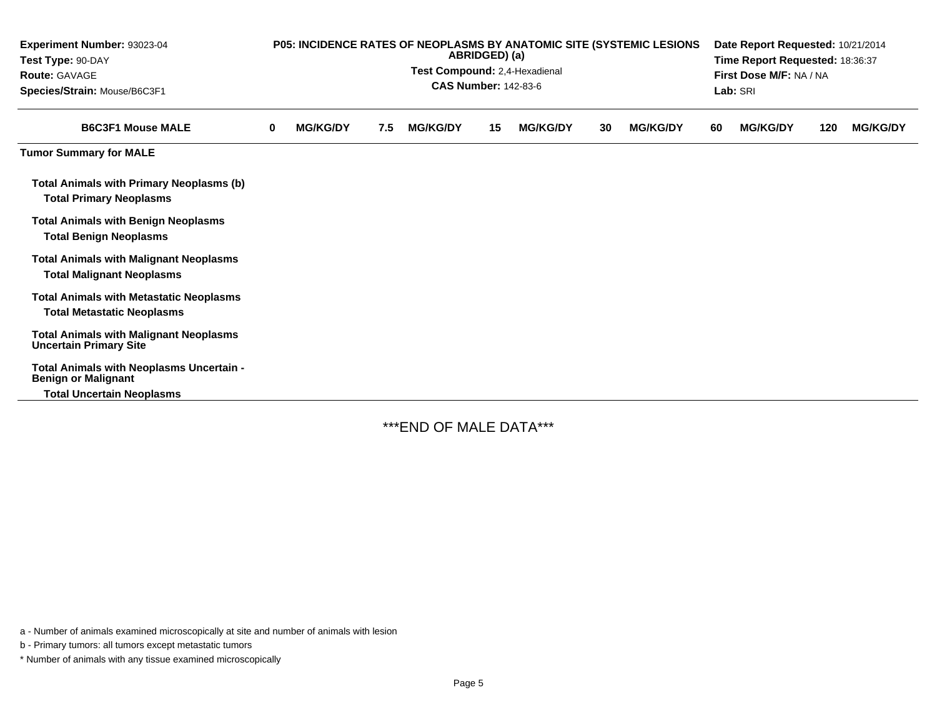| Experiment Number: 93023-04<br>Test Type: 90-DAY<br><b>Route: GAVAGE</b><br>Species/Strain: Mouse/B6C3F1 |   | P05: INCIDENCE RATES OF NEOPLASMS BY ANATOMIC SITE (SYSTEMIC LESIONS |     | Date Report Requested: 10/21/2014<br>Time Report Requested: 18:36:37<br>First Dose M/F: NA / NA<br>Lab: SRI |    |                 |    |                 |    |                 |     |                 |
|----------------------------------------------------------------------------------------------------------|---|----------------------------------------------------------------------|-----|-------------------------------------------------------------------------------------------------------------|----|-----------------|----|-----------------|----|-----------------|-----|-----------------|
| <b>B6C3F1 Mouse MALE</b>                                                                                 | 0 | <b>MG/KG/DY</b>                                                      | 7.5 | <b>MG/KG/DY</b>                                                                                             | 15 | <b>MG/KG/DY</b> | 30 | <b>MG/KG/DY</b> | 60 | <b>MG/KG/DY</b> | 120 | <b>MG/KG/DY</b> |
| <b>Tumor Summary for MALE</b>                                                                            |   |                                                                      |     |                                                                                                             |    |                 |    |                 |    |                 |     |                 |
| <b>Total Animals with Primary Neoplasms (b)</b><br><b>Total Primary Neoplasms</b>                        |   |                                                                      |     |                                                                                                             |    |                 |    |                 |    |                 |     |                 |
| <b>Total Animals with Benign Neoplasms</b><br><b>Total Benign Neoplasms</b>                              |   |                                                                      |     |                                                                                                             |    |                 |    |                 |    |                 |     |                 |
| <b>Total Animals with Malignant Neoplasms</b><br><b>Total Malignant Neoplasms</b>                        |   |                                                                      |     |                                                                                                             |    |                 |    |                 |    |                 |     |                 |
| <b>Total Animals with Metastatic Neoplasms</b><br><b>Total Metastatic Neoplasms</b>                      |   |                                                                      |     |                                                                                                             |    |                 |    |                 |    |                 |     |                 |
| <b>Total Animals with Malignant Neoplasms</b><br><b>Uncertain Primary Site</b>                           |   |                                                                      |     |                                                                                                             |    |                 |    |                 |    |                 |     |                 |
| Total Animals with Neoplasms Uncertain -<br><b>Benign or Malignant</b>                                   |   |                                                                      |     |                                                                                                             |    |                 |    |                 |    |                 |     |                 |
| <b>Total Uncertain Neoplasms</b>                                                                         |   |                                                                      |     |                                                                                                             |    |                 |    |                 |    |                 |     |                 |

\*\*\*END OF MALE DATA\*\*\*

a - Number of animals examined microscopically at site and number of animals with lesion

b - Primary tumors: all tumors except metastatic tumors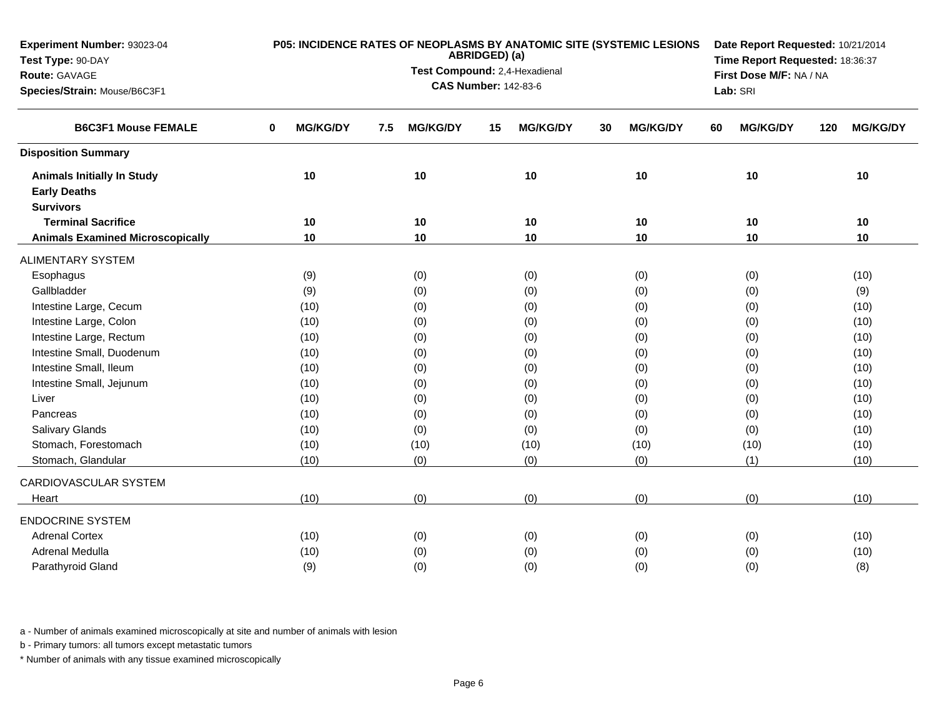| Experiment Number: 93023-04             | P05: INCIDENCE RATES OF NEOPLASMS BY ANATOMIC SITE (SYSTEMIC LESIONS |     |                                                              |               |                 |    |                 | Date Report Requested: 10/21/2014 |                 |                                                                                                                                                                                               |      |  |  |  |  |  |
|-----------------------------------------|----------------------------------------------------------------------|-----|--------------------------------------------------------------|---------------|-----------------|----|-----------------|-----------------------------------|-----------------|-----------------------------------------------------------------------------------------------------------------------------------------------------------------------------------------------|------|--|--|--|--|--|
| Test Type: 90-DAY                       |                                                                      |     |                                                              | ABRIDGED) (a) |                 |    |                 | Time Report Requested: 18:36:37   |                 |                                                                                                                                                                                               |      |  |  |  |  |  |
| Route: GAVAGE                           |                                                                      |     | Test Compound: 2,4-Hexadienal<br><b>CAS Number: 142-83-6</b> |               |                 |    |                 |                                   |                 | First Dose M/F: NA / NA<br><b>MG/KG/DY</b><br>120<br>10<br>10<br>10<br>10<br>10<br>10<br>(0)<br>(10)<br>(0)<br>(9)<br>(0)<br>(10)<br>(0)<br>(10)<br>(10)<br>(0)<br>(0)<br>(10)<br>(0)<br>(10) |      |  |  |  |  |  |
| Species/Strain: Mouse/B6C3F1            |                                                                      |     |                                                              | Lab: SRI      |                 |    |                 |                                   |                 |                                                                                                                                                                                               |      |  |  |  |  |  |
| <b>B6C3F1 Mouse FEMALE</b>              | 0<br><b>MG/KG/DY</b>                                                 | 7.5 | <b>MG/KG/DY</b>                                              | 15            | <b>MG/KG/DY</b> | 30 | <b>MG/KG/DY</b> | 60                                | <b>MG/KG/DY</b> |                                                                                                                                                                                               |      |  |  |  |  |  |
| <b>Disposition Summary</b>              |                                                                      |     |                                                              |               |                 |    |                 |                                   |                 |                                                                                                                                                                                               |      |  |  |  |  |  |
| <b>Animals Initially In Study</b>       | 10                                                                   |     | 10                                                           |               | 10              |    | 10              |                                   |                 |                                                                                                                                                                                               |      |  |  |  |  |  |
| <b>Early Deaths</b>                     |                                                                      |     |                                                              |               |                 |    |                 |                                   |                 |                                                                                                                                                                                               |      |  |  |  |  |  |
| <b>Survivors</b>                        |                                                                      |     |                                                              |               |                 |    |                 |                                   |                 |                                                                                                                                                                                               |      |  |  |  |  |  |
| <b>Terminal Sacrifice</b>               | 10                                                                   |     | 10                                                           |               | 10              |    | 10              |                                   |                 |                                                                                                                                                                                               |      |  |  |  |  |  |
| <b>Animals Examined Microscopically</b> | 10                                                                   |     | 10                                                           |               | 10              |    | 10              |                                   |                 |                                                                                                                                                                                               |      |  |  |  |  |  |
| <b>ALIMENTARY SYSTEM</b>                |                                                                      |     |                                                              |               |                 |    |                 |                                   |                 |                                                                                                                                                                                               |      |  |  |  |  |  |
| Esophagus                               | (9)                                                                  |     | (0)                                                          |               | (0)             |    | (0)             |                                   |                 |                                                                                                                                                                                               |      |  |  |  |  |  |
| Gallbladder                             | (9)                                                                  |     | (0)                                                          |               | (0)             |    | (0)             |                                   |                 |                                                                                                                                                                                               |      |  |  |  |  |  |
| Intestine Large, Cecum                  | (10)                                                                 |     | (0)                                                          |               | (0)             |    | (0)             |                                   |                 |                                                                                                                                                                                               |      |  |  |  |  |  |
| Intestine Large, Colon                  | (10)                                                                 |     | (0)                                                          |               | (0)             |    | (0)             |                                   |                 |                                                                                                                                                                                               |      |  |  |  |  |  |
| Intestine Large, Rectum                 | (10)                                                                 |     | (0)                                                          |               | (0)             |    | (0)             |                                   |                 |                                                                                                                                                                                               |      |  |  |  |  |  |
| Intestine Small, Duodenum               | (10)                                                                 |     | (0)                                                          |               | (0)             |    | (0)             |                                   |                 |                                                                                                                                                                                               |      |  |  |  |  |  |
| Intestine Small, Ileum                  | (10)                                                                 |     | (0)                                                          |               | (0)             |    | (0)             |                                   |                 |                                                                                                                                                                                               |      |  |  |  |  |  |
| Intestine Small, Jejunum                | (10)                                                                 |     | (0)                                                          |               | (0)             |    | (0)             |                                   | (0)             |                                                                                                                                                                                               | (10) |  |  |  |  |  |
| Liver                                   | (10)                                                                 |     | (0)                                                          |               | (0)             |    | (0)             |                                   | (0)             |                                                                                                                                                                                               | (10) |  |  |  |  |  |
| Pancreas                                | (10)                                                                 |     | (0)                                                          |               | (0)             |    | (0)             |                                   | (0)             |                                                                                                                                                                                               | (10) |  |  |  |  |  |
| <b>Salivary Glands</b>                  | (10)                                                                 |     | (0)                                                          |               | (0)             |    | (0)             |                                   | (0)             |                                                                                                                                                                                               | (10) |  |  |  |  |  |
| Stomach, Forestomach                    | (10)                                                                 |     | (10)                                                         |               | (10)            |    | (10)            |                                   | (10)            |                                                                                                                                                                                               | (10) |  |  |  |  |  |
| Stomach, Glandular                      | (10)                                                                 |     | (0)                                                          |               | (0)             |    | (0)             |                                   | (1)             |                                                                                                                                                                                               | (10) |  |  |  |  |  |
| CARDIOVASCULAR SYSTEM                   |                                                                      |     |                                                              |               |                 |    |                 |                                   |                 |                                                                                                                                                                                               |      |  |  |  |  |  |
| Heart                                   | (10)                                                                 |     | (0)                                                          |               | (0)             |    | (0)             |                                   | (0)             |                                                                                                                                                                                               | (10) |  |  |  |  |  |
| <b>ENDOCRINE SYSTEM</b>                 |                                                                      |     |                                                              |               |                 |    |                 |                                   |                 |                                                                                                                                                                                               |      |  |  |  |  |  |
| <b>Adrenal Cortex</b>                   | (10)                                                                 |     | (0)                                                          |               | (0)             |    | (0)             |                                   | (0)             |                                                                                                                                                                                               | (10) |  |  |  |  |  |
| Adrenal Medulla                         | (10)                                                                 |     | (0)                                                          |               | (0)             |    | (0)             |                                   | (0)             |                                                                                                                                                                                               | (10) |  |  |  |  |  |
| Parathyroid Gland                       | (9)                                                                  |     | (0)                                                          |               | (0)             |    | (0)             |                                   | (0)             |                                                                                                                                                                                               | (8)  |  |  |  |  |  |

b - Primary tumors: all tumors except metastatic tumors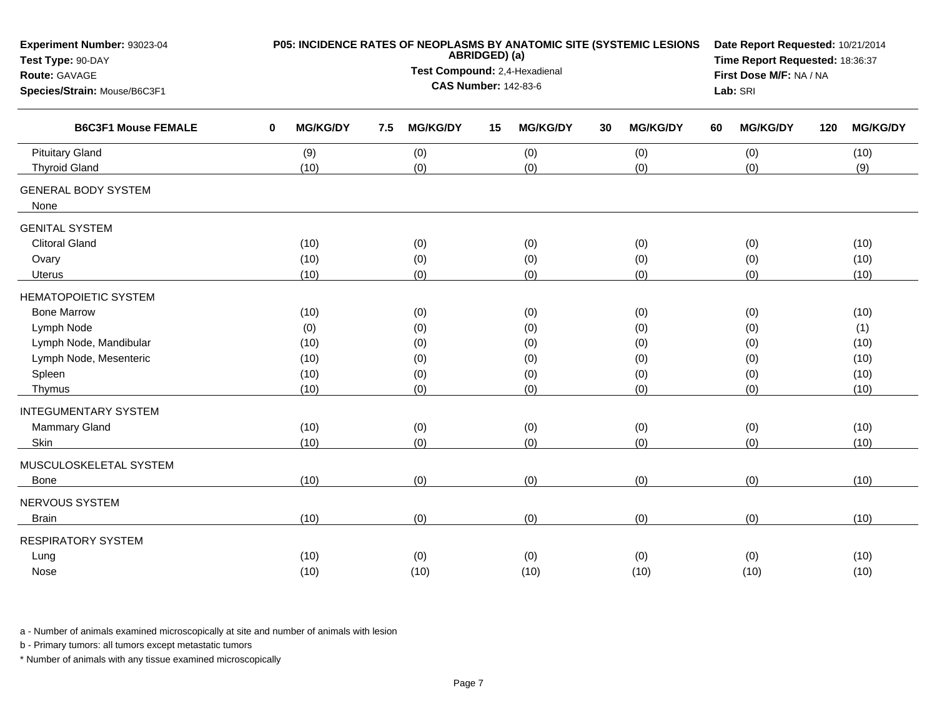| Test Compound: 2,4-Hexadienal<br>First Dose M/F: NA / NA<br>Route: GAVAGE<br><b>CAS Number: 142-83-6</b><br>Species/Strain: Mouse/B6C3F1<br>Lab: SRI<br><b>B6C3F1 Mouse FEMALE</b><br><b>MG/KG/DY</b><br><b>MG/KG/DY</b><br><b>MG/KG/DY</b><br><b>MG/KG/DY</b><br><b>MG/KG/DY</b><br><b>MG/KG/DY</b><br>$\bf{0}$<br>7.5<br>15<br>120<br>30<br>60<br><b>Pituitary Gland</b><br>(9)<br>(0)<br>(0)<br>(0)<br>(0)<br>(10)<br>(0)<br>(0)<br>(0)<br>(0)<br>(9)<br><b>Thyroid Gland</b><br>(10)<br><b>GENERAL BODY SYSTEM</b><br>None<br><b>GENITAL SYSTEM</b><br><b>Clitoral Gland</b><br>(10)<br>(0)<br>(0)<br>(0)<br>(0)<br>(10)<br>(0)<br>(0)<br>(0)<br>(0)<br>(10)<br>Ovary<br>(10)<br>(0)<br>(0)<br>(10)<br>(0)<br>(0)<br>(10)<br>Uterus<br><b>HEMATOPOIETIC SYSTEM</b><br>(0)<br>(0)<br><b>Bone Marrow</b><br>(10)<br>(0)<br>(0)<br>(10)<br>Lymph Node<br>(0)<br>(0)<br>(0)<br>(0)<br>(0)<br>(1)<br>Lymph Node, Mandibular<br>(0)<br>(0)<br>(0)<br>(0)<br>(10)<br>(10)<br>Lymph Node, Mesenteric<br>(0)<br>(10)<br>(0)<br>(0)<br>(0)<br>(10)<br>Spleen<br>(0)<br>(0)<br>(0)<br>(10)<br>(10)<br>(0)<br>(0)<br>(0)<br>(0)<br>(10)<br>(0)<br>(10)<br>Thymus<br><b>INTEGUMENTARY SYSTEM</b><br>Mammary Gland<br>(10)<br>(0)<br>(0)<br>(0)<br>(0)<br>(10)<br>(0)<br>(10)<br>(0)<br>(0)<br>(0)<br>(10)<br>Skin<br>MUSCULOSKELETAL SYSTEM<br>(0)<br>(10)<br>(0)<br>(0)<br>(0)<br>(10)<br><b>Bone</b><br>NERVOUS SYSTEM<br>(0)<br>(0)<br>(0)<br>(10)<br>(0)<br>(10)<br><b>Brain</b><br><b>RESPIRATORY SYSTEM</b><br>Lung<br>(10)<br>(0)<br>(0)<br>(0)<br>(0)<br>(10)<br>Nose<br>(10)<br>(10)<br>(10)<br>(10)<br>(10)<br>(10) | Experiment Number: 93023-04<br>Test Type: 90-DAY |  |  | ABRIDGED) (a) |  | P05: INCIDENCE RATES OF NEOPLASMS BY ANATOMIC SITE (SYSTEMIC LESIONS | Date Report Requested: 10/21/2014<br>Time Report Requested: 18:36:37 |  |  |  |  |  |  |  |
|----------------------------------------------------------------------------------------------------------------------------------------------------------------------------------------------------------------------------------------------------------------------------------------------------------------------------------------------------------------------------------------------------------------------------------------------------------------------------------------------------------------------------------------------------------------------------------------------------------------------------------------------------------------------------------------------------------------------------------------------------------------------------------------------------------------------------------------------------------------------------------------------------------------------------------------------------------------------------------------------------------------------------------------------------------------------------------------------------------------------------------------------------------------------------------------------------------------------------------------------------------------------------------------------------------------------------------------------------------------------------------------------------------------------------------------------------------------------------------------------------------------------------------------------------------------------------------------------------------------------|--------------------------------------------------|--|--|---------------|--|----------------------------------------------------------------------|----------------------------------------------------------------------|--|--|--|--|--|--|--|
|                                                                                                                                                                                                                                                                                                                                                                                                                                                                                                                                                                                                                                                                                                                                                                                                                                                                                                                                                                                                                                                                                                                                                                                                                                                                                                                                                                                                                                                                                                                                                                                                                      |                                                  |  |  |               |  |                                                                      |                                                                      |  |  |  |  |  |  |  |
|                                                                                                                                                                                                                                                                                                                                                                                                                                                                                                                                                                                                                                                                                                                                                                                                                                                                                                                                                                                                                                                                                                                                                                                                                                                                                                                                                                                                                                                                                                                                                                                                                      |                                                  |  |  |               |  |                                                                      |                                                                      |  |  |  |  |  |  |  |
|                                                                                                                                                                                                                                                                                                                                                                                                                                                                                                                                                                                                                                                                                                                                                                                                                                                                                                                                                                                                                                                                                                                                                                                                                                                                                                                                                                                                                                                                                                                                                                                                                      |                                                  |  |  |               |  |                                                                      |                                                                      |  |  |  |  |  |  |  |
|                                                                                                                                                                                                                                                                                                                                                                                                                                                                                                                                                                                                                                                                                                                                                                                                                                                                                                                                                                                                                                                                                                                                                                                                                                                                                                                                                                                                                                                                                                                                                                                                                      |                                                  |  |  |               |  |                                                                      |                                                                      |  |  |  |  |  |  |  |
|                                                                                                                                                                                                                                                                                                                                                                                                                                                                                                                                                                                                                                                                                                                                                                                                                                                                                                                                                                                                                                                                                                                                                                                                                                                                                                                                                                                                                                                                                                                                                                                                                      |                                                  |  |  |               |  |                                                                      |                                                                      |  |  |  |  |  |  |  |
|                                                                                                                                                                                                                                                                                                                                                                                                                                                                                                                                                                                                                                                                                                                                                                                                                                                                                                                                                                                                                                                                                                                                                                                                                                                                                                                                                                                                                                                                                                                                                                                                                      |                                                  |  |  |               |  |                                                                      |                                                                      |  |  |  |  |  |  |  |
|                                                                                                                                                                                                                                                                                                                                                                                                                                                                                                                                                                                                                                                                                                                                                                                                                                                                                                                                                                                                                                                                                                                                                                                                                                                                                                                                                                                                                                                                                                                                                                                                                      |                                                  |  |  |               |  |                                                                      |                                                                      |  |  |  |  |  |  |  |
|                                                                                                                                                                                                                                                                                                                                                                                                                                                                                                                                                                                                                                                                                                                                                                                                                                                                                                                                                                                                                                                                                                                                                                                                                                                                                                                                                                                                                                                                                                                                                                                                                      |                                                  |  |  |               |  |                                                                      |                                                                      |  |  |  |  |  |  |  |
|                                                                                                                                                                                                                                                                                                                                                                                                                                                                                                                                                                                                                                                                                                                                                                                                                                                                                                                                                                                                                                                                                                                                                                                                                                                                                                                                                                                                                                                                                                                                                                                                                      |                                                  |  |  |               |  |                                                                      |                                                                      |  |  |  |  |  |  |  |
|                                                                                                                                                                                                                                                                                                                                                                                                                                                                                                                                                                                                                                                                                                                                                                                                                                                                                                                                                                                                                                                                                                                                                                                                                                                                                                                                                                                                                                                                                                                                                                                                                      |                                                  |  |  |               |  |                                                                      |                                                                      |  |  |  |  |  |  |  |
|                                                                                                                                                                                                                                                                                                                                                                                                                                                                                                                                                                                                                                                                                                                                                                                                                                                                                                                                                                                                                                                                                                                                                                                                                                                                                                                                                                                                                                                                                                                                                                                                                      |                                                  |  |  |               |  |                                                                      |                                                                      |  |  |  |  |  |  |  |
|                                                                                                                                                                                                                                                                                                                                                                                                                                                                                                                                                                                                                                                                                                                                                                                                                                                                                                                                                                                                                                                                                                                                                                                                                                                                                                                                                                                                                                                                                                                                                                                                                      |                                                  |  |  |               |  |                                                                      |                                                                      |  |  |  |  |  |  |  |
|                                                                                                                                                                                                                                                                                                                                                                                                                                                                                                                                                                                                                                                                                                                                                                                                                                                                                                                                                                                                                                                                                                                                                                                                                                                                                                                                                                                                                                                                                                                                                                                                                      |                                                  |  |  |               |  |                                                                      |                                                                      |  |  |  |  |  |  |  |
|                                                                                                                                                                                                                                                                                                                                                                                                                                                                                                                                                                                                                                                                                                                                                                                                                                                                                                                                                                                                                                                                                                                                                                                                                                                                                                                                                                                                                                                                                                                                                                                                                      |                                                  |  |  |               |  |                                                                      |                                                                      |  |  |  |  |  |  |  |
|                                                                                                                                                                                                                                                                                                                                                                                                                                                                                                                                                                                                                                                                                                                                                                                                                                                                                                                                                                                                                                                                                                                                                                                                                                                                                                                                                                                                                                                                                                                                                                                                                      |                                                  |  |  |               |  |                                                                      |                                                                      |  |  |  |  |  |  |  |
|                                                                                                                                                                                                                                                                                                                                                                                                                                                                                                                                                                                                                                                                                                                                                                                                                                                                                                                                                                                                                                                                                                                                                                                                                                                                                                                                                                                                                                                                                                                                                                                                                      |                                                  |  |  |               |  |                                                                      |                                                                      |  |  |  |  |  |  |  |
|                                                                                                                                                                                                                                                                                                                                                                                                                                                                                                                                                                                                                                                                                                                                                                                                                                                                                                                                                                                                                                                                                                                                                                                                                                                                                                                                                                                                                                                                                                                                                                                                                      |                                                  |  |  |               |  |                                                                      |                                                                      |  |  |  |  |  |  |  |
|                                                                                                                                                                                                                                                                                                                                                                                                                                                                                                                                                                                                                                                                                                                                                                                                                                                                                                                                                                                                                                                                                                                                                                                                                                                                                                                                                                                                                                                                                                                                                                                                                      |                                                  |  |  |               |  |                                                                      |                                                                      |  |  |  |  |  |  |  |
|                                                                                                                                                                                                                                                                                                                                                                                                                                                                                                                                                                                                                                                                                                                                                                                                                                                                                                                                                                                                                                                                                                                                                                                                                                                                                                                                                                                                                                                                                                                                                                                                                      |                                                  |  |  |               |  |                                                                      |                                                                      |  |  |  |  |  |  |  |
|                                                                                                                                                                                                                                                                                                                                                                                                                                                                                                                                                                                                                                                                                                                                                                                                                                                                                                                                                                                                                                                                                                                                                                                                                                                                                                                                                                                                                                                                                                                                                                                                                      |                                                  |  |  |               |  |                                                                      |                                                                      |  |  |  |  |  |  |  |
|                                                                                                                                                                                                                                                                                                                                                                                                                                                                                                                                                                                                                                                                                                                                                                                                                                                                                                                                                                                                                                                                                                                                                                                                                                                                                                                                                                                                                                                                                                                                                                                                                      |                                                  |  |  |               |  |                                                                      |                                                                      |  |  |  |  |  |  |  |
|                                                                                                                                                                                                                                                                                                                                                                                                                                                                                                                                                                                                                                                                                                                                                                                                                                                                                                                                                                                                                                                                                                                                                                                                                                                                                                                                                                                                                                                                                                                                                                                                                      |                                                  |  |  |               |  |                                                                      |                                                                      |  |  |  |  |  |  |  |
|                                                                                                                                                                                                                                                                                                                                                                                                                                                                                                                                                                                                                                                                                                                                                                                                                                                                                                                                                                                                                                                                                                                                                                                                                                                                                                                                                                                                                                                                                                                                                                                                                      |                                                  |  |  |               |  |                                                                      |                                                                      |  |  |  |  |  |  |  |
|                                                                                                                                                                                                                                                                                                                                                                                                                                                                                                                                                                                                                                                                                                                                                                                                                                                                                                                                                                                                                                                                                                                                                                                                                                                                                                                                                                                                                                                                                                                                                                                                                      |                                                  |  |  |               |  |                                                                      |                                                                      |  |  |  |  |  |  |  |
|                                                                                                                                                                                                                                                                                                                                                                                                                                                                                                                                                                                                                                                                                                                                                                                                                                                                                                                                                                                                                                                                                                                                                                                                                                                                                                                                                                                                                                                                                                                                                                                                                      |                                                  |  |  |               |  |                                                                      |                                                                      |  |  |  |  |  |  |  |
|                                                                                                                                                                                                                                                                                                                                                                                                                                                                                                                                                                                                                                                                                                                                                                                                                                                                                                                                                                                                                                                                                                                                                                                                                                                                                                                                                                                                                                                                                                                                                                                                                      |                                                  |  |  |               |  |                                                                      |                                                                      |  |  |  |  |  |  |  |
|                                                                                                                                                                                                                                                                                                                                                                                                                                                                                                                                                                                                                                                                                                                                                                                                                                                                                                                                                                                                                                                                                                                                                                                                                                                                                                                                                                                                                                                                                                                                                                                                                      |                                                  |  |  |               |  |                                                                      |                                                                      |  |  |  |  |  |  |  |
|                                                                                                                                                                                                                                                                                                                                                                                                                                                                                                                                                                                                                                                                                                                                                                                                                                                                                                                                                                                                                                                                                                                                                                                                                                                                                                                                                                                                                                                                                                                                                                                                                      |                                                  |  |  |               |  |                                                                      |                                                                      |  |  |  |  |  |  |  |

b - Primary tumors: all tumors except metastatic tumors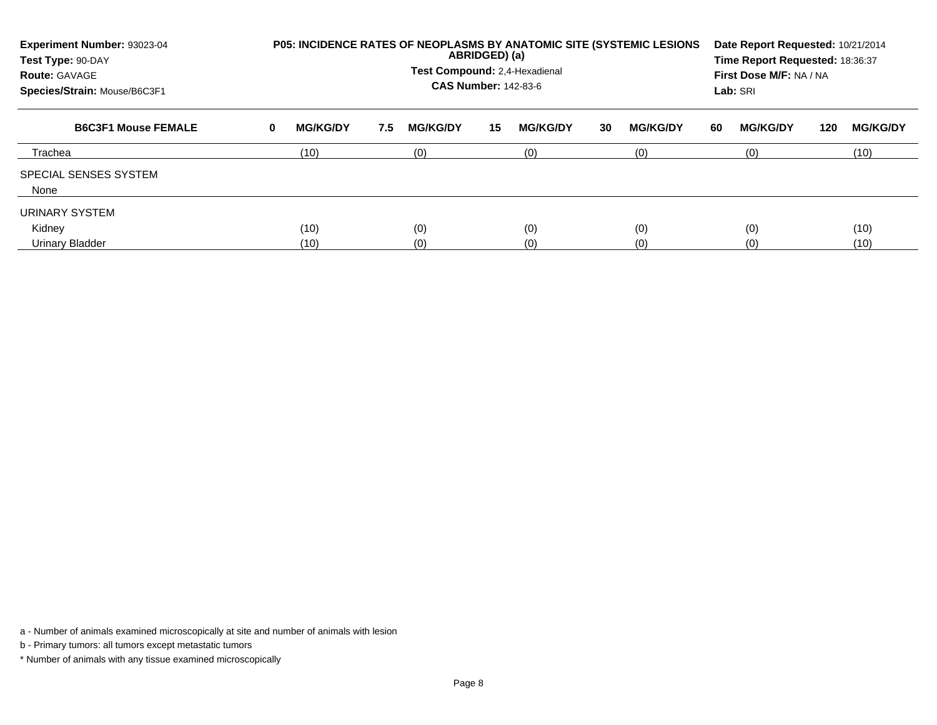| Experiment Number: 93023-04<br>Test Type: 90-DAY<br><b>Route: GAVAGE</b><br>Species/Strain: Mouse/B6C3F1 |   |                 |     | Test Compound: 2.4-Hexadienal<br><b>CAS Number: 142-83-6</b> | ABRIDGED) (a) |                 |    | <b>P05: INCIDENCE RATES OF NEOPLASMS BY ANATOMIC SITE (SYSTEMIC LESIONS)</b> |    | Date Report Requested: 10/21/2014<br>Time Report Requested: 18:36:37<br>First Dose M/F: NA / NA<br>Lab: SRI |     |                 |
|----------------------------------------------------------------------------------------------------------|---|-----------------|-----|--------------------------------------------------------------|---------------|-----------------|----|------------------------------------------------------------------------------|----|-------------------------------------------------------------------------------------------------------------|-----|-----------------|
| <b>B6C3F1 Mouse FEMALE</b>                                                                               | 0 | <b>MG/KG/DY</b> | 7.5 | <b>MG/KG/DY</b>                                              | 15            | <b>MG/KG/DY</b> | 30 | <b>MG/KG/DY</b>                                                              | 60 | <b>MG/KG/DY</b>                                                                                             | 120 | <b>MG/KG/DY</b> |
| Trachea                                                                                                  |   | (10)            |     | (0)                                                          |               | (0)             |    | (0)                                                                          |    | (0)                                                                                                         |     | (10)            |
| SPECIAL SENSES SYSTEM<br>None                                                                            |   |                 |     |                                                              |               |                 |    |                                                                              |    |                                                                                                             |     |                 |
| URINARY SYSTEM                                                                                           |   |                 |     |                                                              |               |                 |    |                                                                              |    |                                                                                                             |     |                 |
| Kidney                                                                                                   |   | (10)            |     | (0)                                                          |               | (0)             |    | (0)                                                                          |    | (0)                                                                                                         |     | (10)            |
| Urinary Bladder                                                                                          |   | (10)            |     | (0)                                                          |               | (0)             |    | (0)                                                                          |    | (0)                                                                                                         |     | (10)            |

b - Primary tumors: all tumors except metastatic tumors